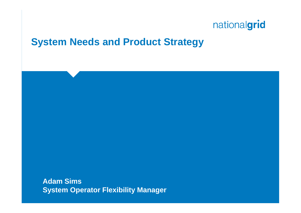### **System Needs and Product Strategy**

**Adam Sims System Operator Flexibility Manager**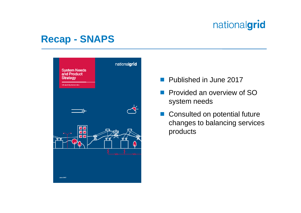### **Recap - SNAPS**



- **Published in June 2017**
- Provided an overview of SO system needs
- Consulted on potential future changes to balancing services products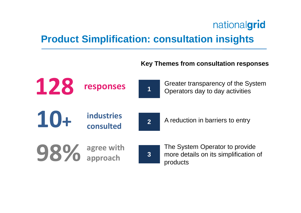## **Product Simplification: consultation insights**

#### **Key Themes from consultation responses**

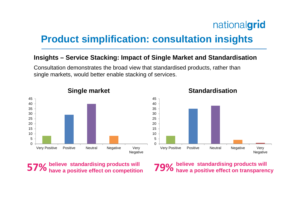## **Product simplification: consultation insights**

#### **Insights – Service Stacking: Impact of Single Market and Standardisation**

Consultation demonstrates the broad view that standardised products, rather than single markets, would better enable stacking of services.



**Standardisation**



**believe standardising products will have a positive effect on competition**

**79%** believe standardising products will<br>**79%** have a positive effect on transparency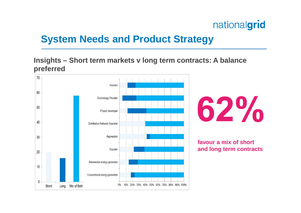## **System Needs and Product Strategy**

**Insights – Short term markets v long term contracts: A balance preferred**

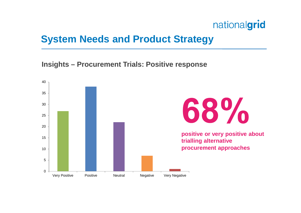### **System Needs and Product Strategy**

**Insights – Procurement Trials: Positive response**

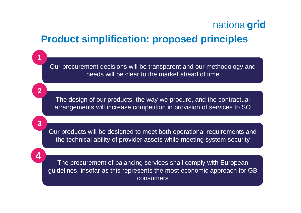### **Product simplification: proposed principles**

Our procurement decisions will be transparent and our methodology and needs will be clear to the market ahead of time

The design of our products, the way we procure, and the contractual arrangements will increase competition in provision of services to SO

Our products will be designed to meet both operational requirements and the technical ability of provider assets while meeting system security

**4**

**1**

**2**

**3**

The procurement of balancing services shall comply with European guidelines, insofar as this represents the most economic approach for GB consumers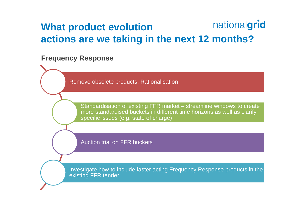#### nationalgrid **What product evolution actions are we taking in the next 12 months?**

#### **Frequency Response**

Remove obsolete products: Rationalisation

Standardisation of existing FFR market – streamline windows to create more standardised buckets in different time horizons as well as clarify specific issues (e.g. state of charge)

Auction trial on FFR buckets

Investigate how to include faster acting Frequency Response products in the existing FFR tender